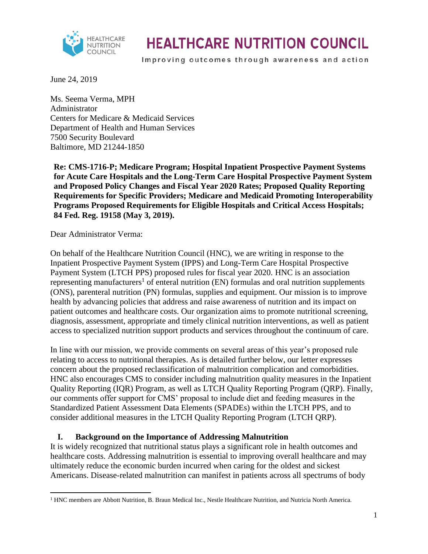

Improving outcomes through awareness and action

June 24, 2019

Ms. Seema Verma, MPH Administrator Centers for Medicare & Medicaid Services Department of Health and Human Services 7500 Security Boulevard Baltimore, MD 21244-1850

**Re: CMS-1716-P; Medicare Program; Hospital Inpatient Prospective Payment Systems for Acute Care Hospitals and the Long-Term Care Hospital Prospective Payment System and Proposed Policy Changes and Fiscal Year 2020 Rates; Proposed Quality Reporting Requirements for Specific Providers; Medicare and Medicaid Promoting Interoperability Programs Proposed Requirements for Eligible Hospitals and Critical Access Hospitals; 84 Fed. Reg. 19158 (May 3, 2019).** 

Dear Administrator Verma:

On behalf of the Healthcare Nutrition Council (HNC), we are writing in response to the Inpatient Prospective Payment System (IPPS) and Long-Term Care Hospital Prospective Payment System (LTCH PPS) proposed rules for fiscal year 2020. HNC is an association representing manufacturers<sup>1</sup> of enteral nutrition (EN) formulas and oral nutrition supplements (ONS), parenteral nutrition (PN) formulas, supplies and equipment. Our mission is to improve health by advancing policies that address and raise awareness of nutrition and its impact on patient outcomes and healthcare costs. Our organization aims to promote nutritional screening, diagnosis, assessment, appropriate and timely clinical nutrition interventions, as well as patient access to specialized nutrition support products and services throughout the continuum of care.

In line with our mission, we provide comments on several areas of this year's proposed rule relating to access to nutritional therapies. As is detailed further below, our letter expresses concern about the proposed reclassification of malnutrition complication and comorbidities. HNC also encourages CMS to consider including malnutrition quality measures in the Inpatient Quality Reporting (IQR) Program, as well as LTCH Quality Reporting Program (QRP). Finally, our comments offer support for CMS' proposal to include diet and feeding measures in the Standardized Patient Assessment Data Elements (SPADEs) within the LTCH PPS, and to consider additional measures in the LTCH Quality Reporting Program (LTCH QRP).

#### **I. Background on the Importance of Addressing Malnutrition**

It is widely recognized that nutritional status plays a significant role in health outcomes and healthcare costs. Addressing malnutrition is essential to improving overall healthcare and may ultimately reduce the economic burden incurred when caring for the oldest and sickest Americans. Disease-related malnutrition can manifest in patients across all spectrums of body

 $\overline{a}$ <sup>1</sup> HNC members are Abbott Nutrition, B. Braun Medical Inc., Nestle Healthcare Nutrition, and Nutricia North America.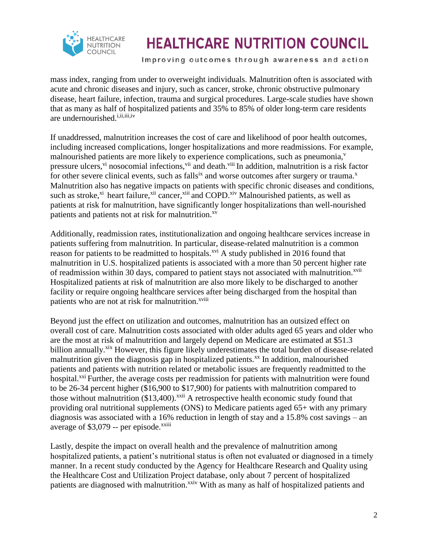

Improving outcomes through awareness and action

mass index, ranging from under to overweight individuals. Malnutrition often is associated with acute and chronic diseases and injury, such as cancer, stroke, chronic obstructive pulmonary disease, heart failure, infection, trauma and surgical procedures. Large-scale studies have shown that as many as half of hospitalized patients and 35% to 85% of older long-term care residents are undernourished.<sup>i,ii,iii,iv</sup>

If unaddressed, malnutrition increases the cost of care and likelihood of poor health outcomes, including increased complications, longer hospitalizations and more readmissions. For example, malnourished patients are more likely to experience complications, such as pneumonia,<sup>v</sup> pressure ulcers,<sup>vi</sup> nosocomial infections,<sup>vii</sup> and death.<sup>viii</sup> In addition, malnutrition is a risk factor for other severe clinical events, such as falls<sup>ix</sup> and worse outcomes after surgery or trauma.<sup>x</sup> Malnutrition also has negative impacts on patients with specific chronic diseases and conditions, such as stroke,<sup>xi</sup> heart failure,<sup>xii</sup> cancer,<sup>xiii</sup> and COPD.<sup>xiv</sup> Malnourished patients, as well as patients at risk for malnutrition, have significantly longer hospitalizations than well-nourished patients and patients not at risk for malnutrition.<sup>xv</sup>

Additionally, readmission rates, institutionalization and ongoing healthcare services increase in patients suffering from malnutrition. In particular, disease-related malnutrition is a common reason for patients to be readmitted to hospitals.<sup>xvi</sup> A study published in 2016 found that malnutrition in U.S. hospitalized patients is associated with a more than 50 percent higher rate of readmission within 30 days, compared to patient stays not associated with malnutrition.<sup>xvii</sup> Hospitalized patients at risk of malnutrition are also more likely to be discharged to another facility or require ongoing healthcare services after being discharged from the hospital than patients who are not at risk for malnutrition.<sup>xviii</sup>

Beyond just the effect on utilization and outcomes, malnutrition has an outsized effect on overall cost of care. Malnutrition costs associated with older adults aged 65 years and older who are the most at risk of malnutrition and largely depend on Medicare are estimated at \$51.3 billion annually.<sup>xix</sup> However, this figure likely underestimates the total burden of disease-related malnutrition given the diagnosis gap in hospitalized patients.<sup>xx</sup> In addition, malnourished patients and patients with nutrition related or metabolic issues are frequently readmitted to the hospital.<sup>xxi</sup> Further, the average costs per readmission for patients with malnutrition were found to be 26-34 percent higher (\$16,900 to \$17,900) for patients with malnutrition compared to those without malnutrition  $(\$13,400)$ .<sup>xxii</sup> A retrospective health economic study found that providing oral nutritional supplements (ONS) to Medicare patients aged 65+ with any primary diagnosis was associated with a 16% reduction in length of stay and a 15.8% cost savings – an average of  $$3,079$  -- per episode.<sup>xxiii</sup>

Lastly, despite the impact on overall health and the prevalence of malnutrition among hospitalized patients, a patient's nutritional status is often not evaluated or diagnosed in a timely manner. In a recent study conducted by the Agency for Healthcare Research and Quality using the Healthcare Cost and Utilization Project database, only about 7 percent of hospitalized patients are diagnosed with malnutrition.<sup>xxiv</sup> With as many as half of hospitalized patients and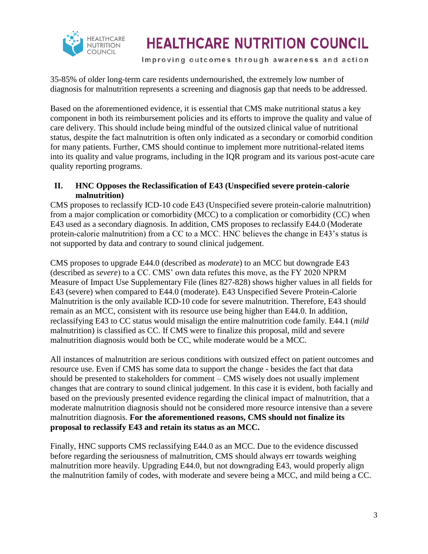

Improving outcomes through awareness and action

35-85% of older long-term care residents undernourished, the extremely low number of diagnosis for malnutrition represents a screening and diagnosis gap that needs to be addressed.

Based on the aforementioned evidence, it is essential that CMS make nutritional status a key component in both its reimbursement policies and its efforts to improve the quality and value of care delivery. This should include being mindful of the outsized clinical value of nutritional status, despite the fact malnutrition is often only indicated as a secondary or comorbid condition for many patients. Further, CMS should continue to implement more nutritional-related items into its quality and value programs, including in the IQR program and its various post-acute care quality reporting programs.

#### **II. HNC Opposes the Reclassification of E43 (Unspecified severe protein-calorie malnutrition)**

CMS proposes to reclassify ICD-10 code E43 (Unspecified severe protein-calorie malnutrition) from a major complication or comorbidity (MCC) to a complication or comorbidity (CC) when E43 used as a secondary diagnosis. In addition, CMS proposes to reclassify E44.0 (Moderate protein-calorie malnutrition) from a CC to a MCC. HNC believes the change in E43's status is not supported by data and contrary to sound clinical judgement.

CMS proposes to upgrade E44.0 (described as *moderate*) to an MCC but downgrade E43 (described as *severe*) to a CC. CMS' own data refutes this move, as the FY 2020 NPRM Measure of Impact Use Supplementary File (lines 827-828) shows higher values in all fields for E43 (severe) when compared to E44.0 (moderate). E43 Unspecified Severe Protein-Calorie Malnutrition is the only available ICD-10 code for severe malnutrition. Therefore, E43 should remain as an MCC, consistent with its resource use being higher than E44.0. In addition, reclassifying E43 to CC status would misalign the entire malnutrition code family. E44.1 (*mild*  malnutrition) is classified as CC. If CMS were to finalize this proposal, mild and severe malnutrition diagnosis would both be CC, while moderate would be a MCC.

All instances of malnutrition are serious conditions with outsized effect on patient outcomes and resource use. Even if CMS has some data to support the change - besides the fact that data should be presented to stakeholders for comment – CMS wisely does not usually implement changes that are contrary to sound clinical judgement. In this case it is evident, both facially and based on the previously presented evidence regarding the clinical impact of malnutrition, that a moderate malnutrition diagnosis should not be considered more resource intensive than a severe malnutrition diagnosis. **For the aforementioned reasons, CMS should not finalize its proposal to reclassify E43 and retain its status as an MCC.** 

Finally, HNC supports CMS reclassifying E44.0 as an MCC. Due to the evidence discussed before regarding the seriousness of malnutrition, CMS should always err towards weighing malnutrition more heavily. Upgrading E44.0, but not downgrading E43, would properly align the malnutrition family of codes, with moderate and severe being a MCC, and mild being a CC.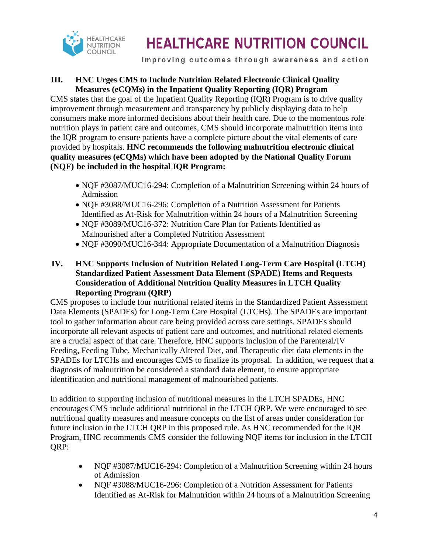

Improving outcomes through awareness and action

#### **III. HNC Urges CMS to Include Nutrition Related Electronic Clinical Quality Measures (eCQMs) in the Inpatient Quality Reporting (IQR) Program**

CMS states that the goal of the Inpatient Quality Reporting (IQR) Program is to drive quality improvement through measurement and transparency by publicly displaying data to help consumers make more informed decisions about their health care. Due to the momentous role nutrition plays in patient care and outcomes, CMS should incorporate malnutrition items into the IQR program to ensure patients have a complete picture about the vital elements of care provided by hospitals. **HNC recommends the following malnutrition electronic clinical quality measures (eCQMs) which have been adopted by the National Quality Forum (NQF) be included in the hospital IQR Program:** 

- NOF #3087/MUC16-294: Completion of a Malnutrition Screening within 24 hours of Admission
- NQF #3088/MUC16-296: Completion of a Nutrition Assessment for Patients Identified as At-Risk for Malnutrition within 24 hours of a Malnutrition Screening
- NQF #3089/MUC16-372: Nutrition Care Plan for Patients Identified as Malnourished after a Completed Nutrition Assessment
- NQF #3090/MUC16-344: Appropriate Documentation of a Malnutrition Diagnosis
- **IV. HNC Supports Inclusion of Nutrition Related Long-Term Care Hospital (LTCH) Standardized Patient Assessment Data Element (SPADE) Items and Requests Consideration of Additional Nutrition Quality Measures in LTCH Quality Reporting Program (QRP)**

CMS proposes to include four nutritional related items in the Standardized Patient Assessment Data Elements (SPADEs) for Long-Term Care Hospital (LTCHs). The SPADEs are important tool to gather information about care being provided across care settings. SPADEs should incorporate all relevant aspects of patient care and outcomes, and nutritional related elements are a crucial aspect of that care. Therefore, HNC supports inclusion of the Parenteral/IV Feeding, Feeding Tube, Mechanically Altered Diet, and Therapeutic diet data elements in the SPADEs for LTCHs and encourages CMS to finalize its proposal. In addition, we request that a diagnosis of malnutrition be considered a standard data element, to ensure appropriate identification and nutritional management of malnourished patients.

In addition to supporting inclusion of nutritional measures in the LTCH SPADEs, HNC encourages CMS include additional nutritional in the LTCH QRP. We were encouraged to see nutritional quality measures and measure concepts on the list of areas under consideration for future inclusion in the LTCH QRP in this proposed rule. As HNC recommended for the IQR Program, HNC recommends CMS consider the following NQF items for inclusion in the LTCH QRP:

- NOF #3087/MUC16-294: Completion of a Malnutrition Screening within 24 hours of Admission
- NOF #3088/MUC16-296: Completion of a Nutrition Assessment for Patients Identified as At-Risk for Malnutrition within 24 hours of a Malnutrition Screening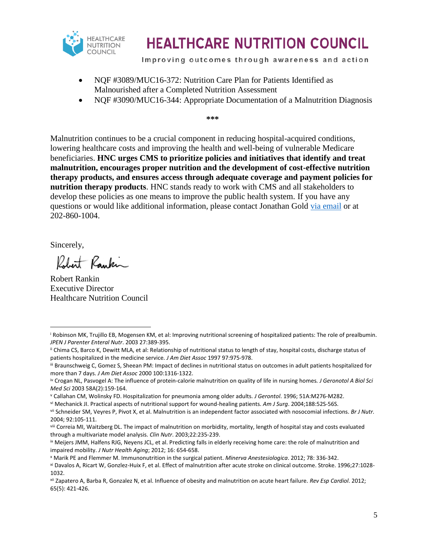

Improving outcomes through awareness and action

- NQF #3089/MUC16-372: Nutrition Care Plan for Patients Identified as Malnourished after a Completed Nutrition Assessment
- NQF #3090/MUC16-344: Appropriate Documentation of a Malnutrition Diagnosis

**\*\*\***

Malnutrition continues to be a crucial component in reducing hospital-acquired conditions, lowering healthcare costs and improving the health and well-being of vulnerable Medicare beneficiaries. **HNC urges CMS to prioritize policies and initiatives that identify and treat malnutrition, encourages proper nutrition and the development of cost-effective nutrition therapy products, and ensures access through adequate coverage and payment policies for nutrition therapy products**. HNC stands ready to work with CMS and all stakeholders to develop these policies as one means to improve the public health system. If you have any questions or would like additional information, please contact Jonathan Gold [via email](mailto:jgold@kellencompany.com) or at 202-860-1004.

Sincerely,

Robert Rankin

Robert Rankin Executive Director Healthcare Nutrition Council

<sup>i</sup> Robinson MK, Trujillo EB, Mogensen KM, et al: Improving nutritional screening of hospitalized patients: The role of prealbumin. *JPEN J Parenter Enteral Nutr*. 2003 27:389-395.  $\overline{\phantom{a}}$ 

ii Chima CS, Barco K, Dewitt MLA, et al: Relationship of nutritional status to length of stay, hospital costs, discharge status of patients hospitalized in the medicine service*. J Am Diet Assoc* 1997 97:975-978.

iii Braunschweig C, Gomez S, Sheean PM: Impact of declines in nutritional status on outcomes in adult patients hospitalized for more than 7 days. *J Am Diet Assoc* 2000 100:1316-1322.

iv Crogan NL, Pasvogel A: The influence of protein-calorie malnutrition on quality of life in nursing homes*. J Geronotol A Biol Sci Med Sci* 2003 58A(2):159-164.

<sup>v</sup> Callahan CM, Wolinsky FD. Hospitalization for pneumonia among older adults. *J Gerontol*. 1996; 51A:M276-M282.

vi Mechanick JI. Practical aspects of nutritional support for wound-healing patients. *Am J Surg*. 2004;188:52S-56S.

vii Schneider SM, Veyres P, Pivot X, et al. Malnutrition is an independent factor associated with nosocomial infections. *Br J Nutr.*  2004; 92:105-111.

viii Correia MI, Waitzberg DL. The impact of malnutrition on morbidity, mortality, length of hospital stay and costs evaluated through a multivariate model analysis. *Clin Nutr*. 2003;22:235-239.

ix Meijers JMM, Halfens RJG, Neyens JCL, et al. Predicting falls in elderly receiving home care: the role of malnutrition and impaired mobility. *J Nutr Health Aging*; 2012; 16: 654-658.

<sup>x</sup> Marik PE and Flemmer M. Immunonutrition in the surgical patient. *Minerva Anestesiologica*. 2012; 78: 336-342.

xi Davalos A, Ricart W, Gonzlez-Huix F, et al. Effect of malnutrition after acute stroke on clinical outcome. Stroke. 1996;27:1028- 1032.

xii Zapatero A, Barba R, Gonzalez N, et al. Influence of obesity and malnutrition on acute heart failure. *Rev Esp Cardiol*. 2012; 65(5): 421-426.